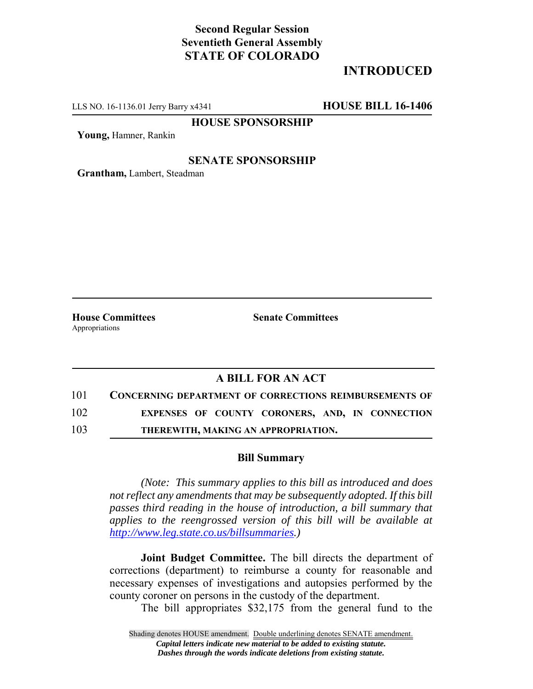# **Second Regular Session Seventieth General Assembly STATE OF COLORADO**

# **INTRODUCED**

LLS NO. 16-1136.01 Jerry Barry x4341 **HOUSE BILL 16-1406**

**HOUSE SPONSORSHIP**

**Young,** Hamner, Rankin

### **SENATE SPONSORSHIP**

**Grantham,** Lambert, Steadman

Appropriations

**House Committees Senate Committees** 

### **A BILL FOR AN ACT**

101 **CONCERNING DEPARTMENT OF CORRECTIONS REIMBURSEMENTS OF**

102 **EXPENSES OF COUNTY CORONERS, AND, IN CONNECTION**

103 **THEREWITH, MAKING AN APPROPRIATION.**

#### **Bill Summary**

*(Note: This summary applies to this bill as introduced and does not reflect any amendments that may be subsequently adopted. If this bill passes third reading in the house of introduction, a bill summary that applies to the reengrossed version of this bill will be available at http://www.leg.state.co.us/billsummaries.)*

**Joint Budget Committee.** The bill directs the department of corrections (department) to reimburse a county for reasonable and necessary expenses of investigations and autopsies performed by the county coroner on persons in the custody of the department.

The bill appropriates \$32,175 from the general fund to the